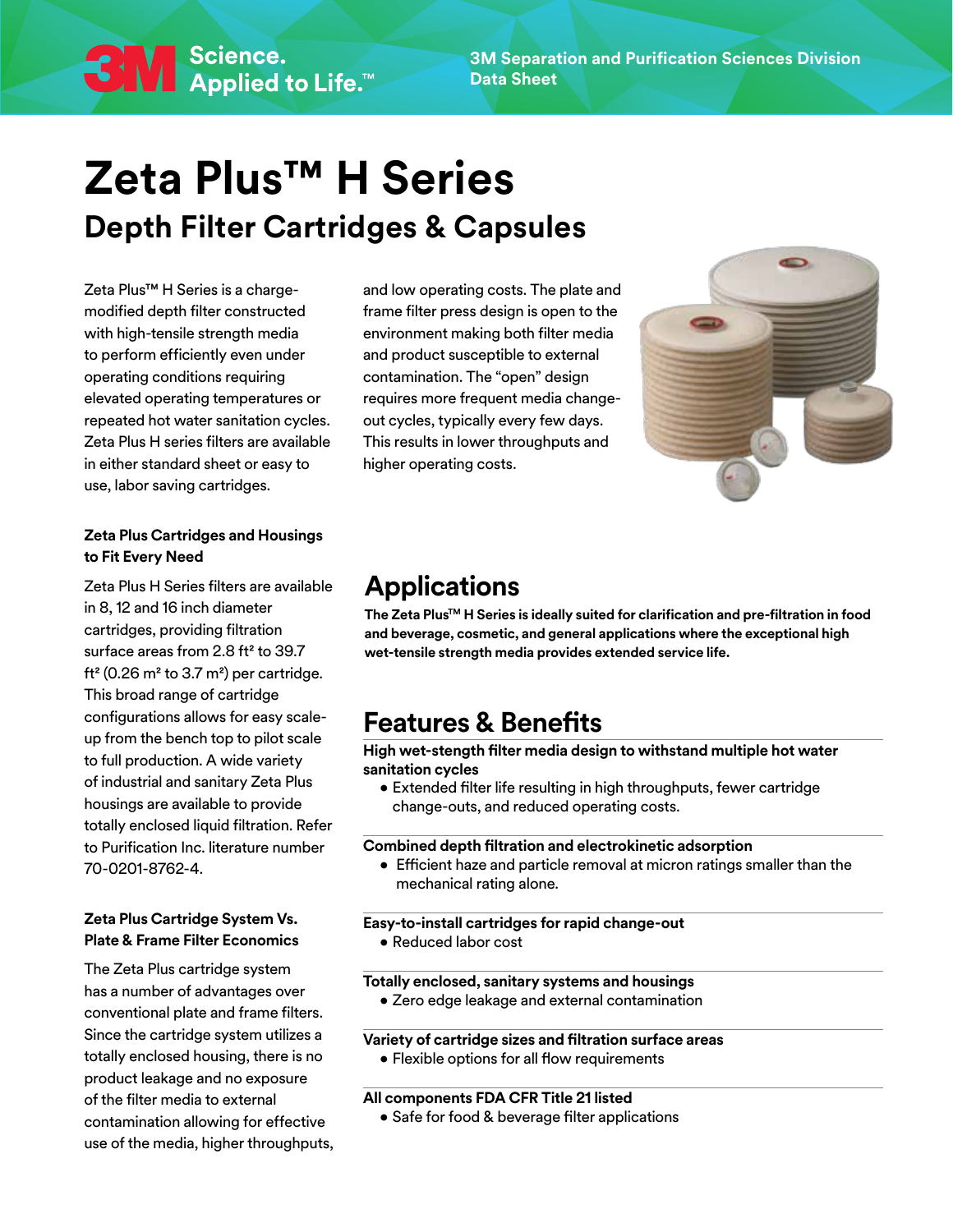# **Zeta Plus™ H Series Depth Filter Cartridges & Capsules**

Zeta Plus™ H Series is a chargemodified depth filter constructed with high-tensile strength media to perform efficiently even under operating conditions requiring elevated operating temperatures or repeated hot water sanitation cycles. Zeta Plus H series filters are available in either standard sheet or easy to use, labor saving cartridges.

**3** M Science.<br>Applied to Life.™

#### **Zeta Plus Cartridges and Housings to Fit Every Need**

Zeta Plus H Series filters are available in 8, 12 and 16 inch diameter cartridges, providing filtration surface areas from 2.8 ft² to 39.7 ft² (0.26 m² to 3.7 m²) per cartridge. This broad range of cartridge configurations allows for easy scaleup from the bench top to pilot scale to full production. A wide variety of industrial and sanitary Zeta Plus housings are available to provide totally enclosed liquid filtration. Refer to Purification Inc. literature number 70-0201-8762-4.

#### **Zeta Plus Cartridge System Vs. Plate & Frame Filter Economics**

The Zeta Plus cartridge system has a number of advantages over conventional plate and frame filters. Since the cartridge system utilizes a totally enclosed housing, there is no product leakage and no exposure of the filter media to external contamination allowing for effective use of the media, higher throughputs,

and low operating costs. The plate and frame filter press design is open to the environment making both filter media and product susceptible to external contamination. The "open" design requires more frequent media changeout cycles, typically every few days. This results in lower throughputs and higher operating costs.



### **Applications**

**The Zeta PlusTM H Series is ideally suited for clarification and pre-filtration in food and beverage, cosmetic, and general applications where the exceptional high wet-tensile strength media provides extended service life.** 

### **Features & Benefits**

**High wet-stength filter media design to withstand multiple hot water sanitation cycles**

• Extended filter life resulting in high throughputs, fewer cartridge change-outs, and reduced operating costs.

#### **Combined depth filtration and electrokinetic adsorption**

• Efficient haze and particle removal at micron ratings smaller than the mechanical rating alone.

#### **Easy-to-install cartridges for rapid change-out** • Reduced labor cost

#### **Totally enclosed, sanitary systems and housings**

• Zero edge leakage and external contamination

#### **Variety of cartridge sizes and filtration surface areas**

• Flexible options for all flow requirements

#### **All components FDA CFR Title 21 listed**

• Safe for food & beverage filter applications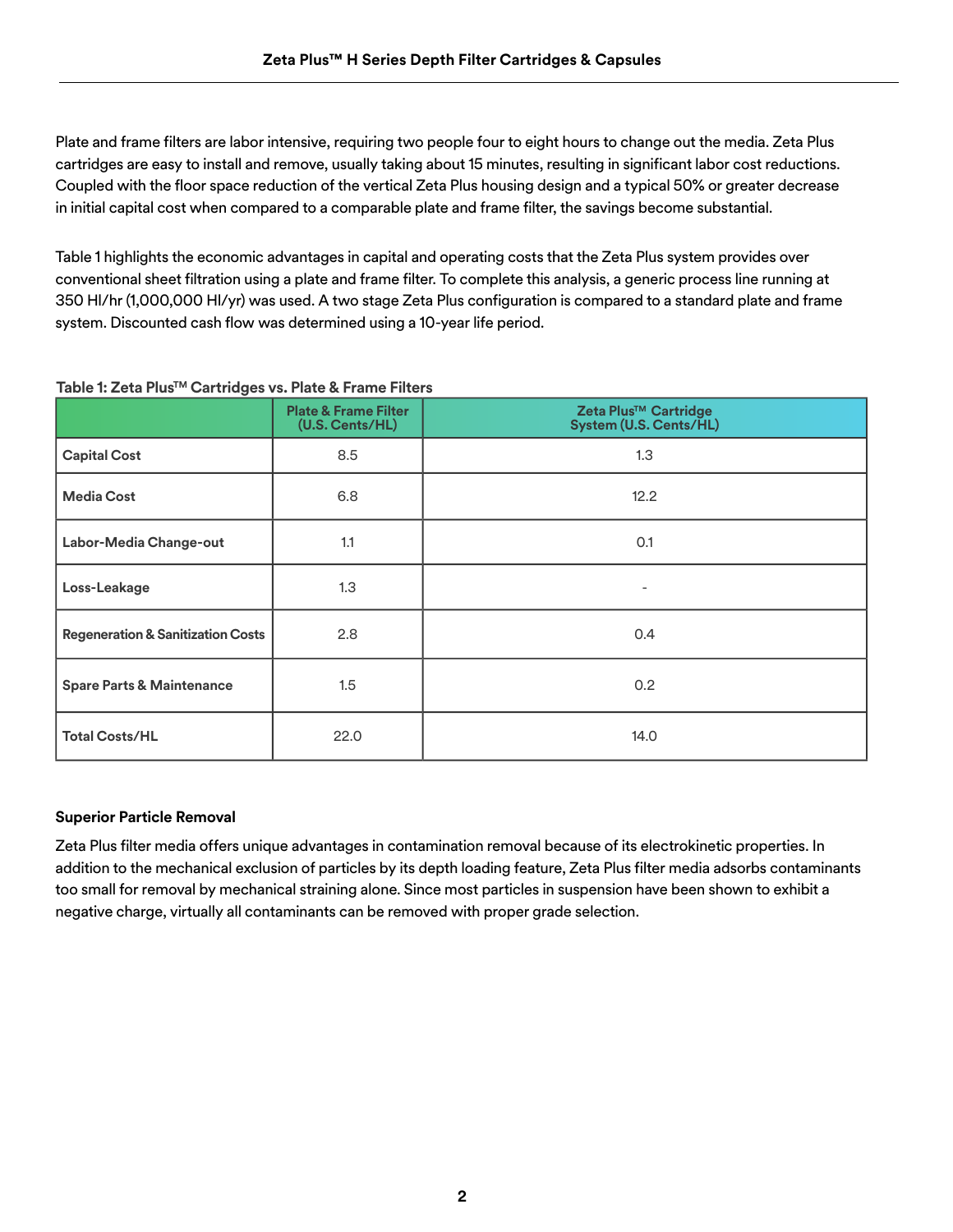Plate and frame filters are labor intensive, requiring two people four to eight hours to change out the media. Zeta Plus cartridges are easy to install and remove, usually taking about 15 minutes, resulting in significant labor cost reductions. Coupled with the floor space reduction of the vertical Zeta Plus housing design and a typical 50% or greater decrease in initial capital cost when compared to a comparable plate and frame filter, the savings become substantial.

Table 1 highlights the economic advantages in capital and operating costs that the Zeta Plus system provides over conventional sheet filtration using a plate and frame filter. To complete this analysis, a generic process line running at 350 Hl/hr (1,000,000 Hl/yr) was used. A two stage Zeta Plus configuration is compared to a standard plate and frame system. Discounted cash flow was determined using a 10-year life period.

| $\tilde{\phantom{a}}$                        | <b>Plate &amp; Frame Filter</b><br>(U.S. Cents/HL) | Zeta Plus <sup>™</sup> Cartridge<br>System (U.S. Cents/HL) |
|----------------------------------------------|----------------------------------------------------|------------------------------------------------------------|
| <b>Capital Cost</b>                          | 8.5                                                | 1.3                                                        |
| <b>Media Cost</b>                            | 6.8                                                | 12.2                                                       |
| Labor-Media Change-out                       | 1.1                                                | 0.1                                                        |
| Loss-Leakage                                 | 1.3                                                | $\overline{\phantom{0}}$                                   |
| <b>Regeneration &amp; Sanitization Costs</b> | 2.8                                                | 0.4                                                        |
| <b>Spare Parts &amp; Maintenance</b>         | 1.5                                                | 0.2                                                        |
| <b>Total Costs/HL</b>                        | 22.0                                               | 14.0                                                       |

#### **Table 1: Zeta PlusTM Cartridges vs. Plate & Frame Filters**

#### **Superior Particle Removal**

Zeta Plus filter media offers unique advantages in contamination removal because of its electrokinetic properties. In addition to the mechanical exclusion of particles by its depth loading feature, Zeta Plus filter media adsorbs contaminants too small for removal by mechanical straining alone. Since most particles in suspension have been shown to exhibit a negative charge, virtually all contaminants can be removed with proper grade selection.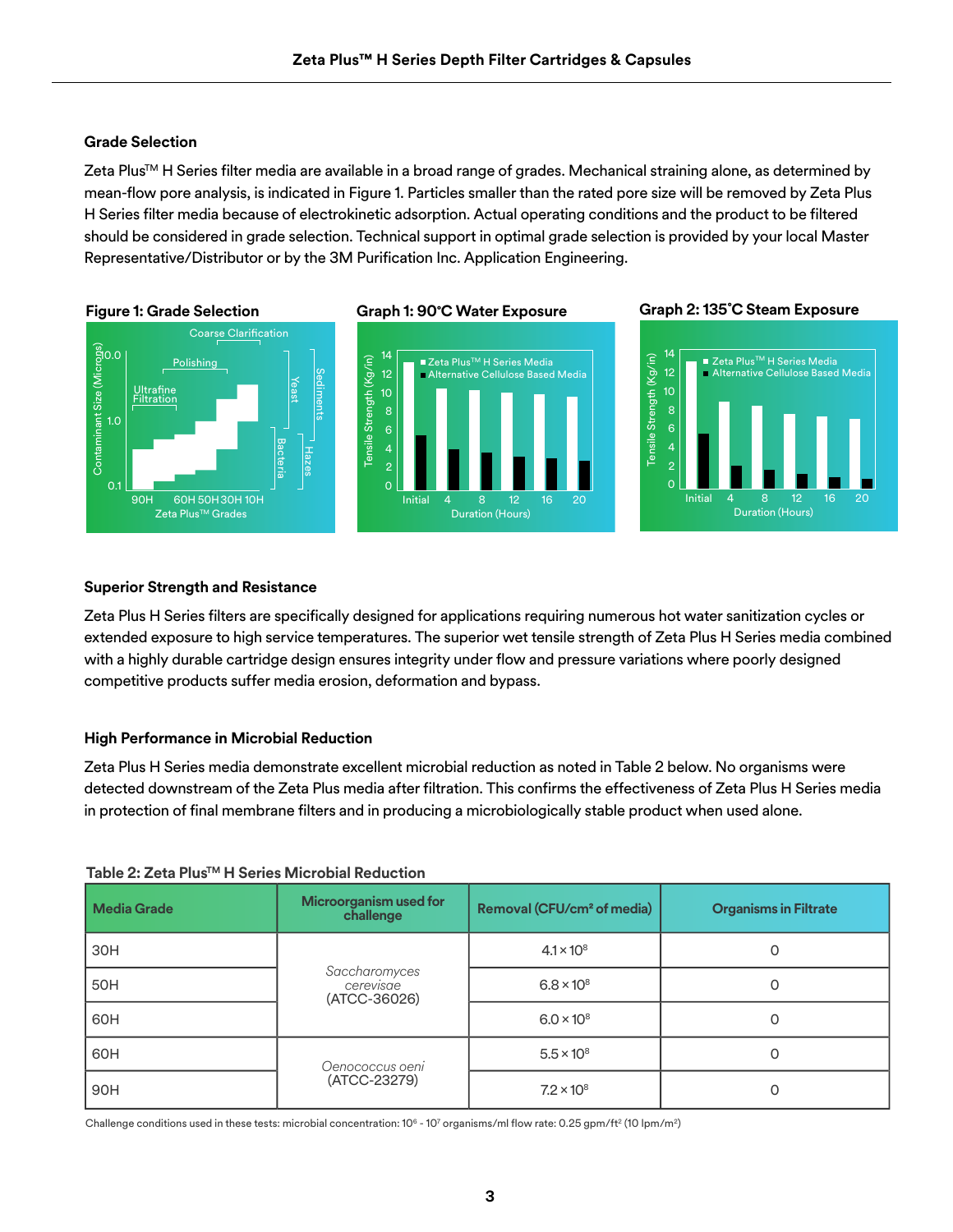Polishing

Calcium (ppm) <0.05 0.9 <0.08 <0.08 <0.08 0.09

12

### **50% Ethanol Grade Selection**

**8% Ethanol**

 $\ddot{\phantom{0}}$ asorpuon. Actuaro<sub>k</sub> should be considered in grade selection. Technical support in optimal grade selection is provided by your local Master Contains)<br>Conta<br>Conta Zeta Plus™ H Series filter media are available in a broad range of grades. Mechanical straining alone, as determined by<br>mean-flow pore analysis, is indicated in Figure 1. Particles smaller than the rated pore size will be ∠eta Plus™ H Series filter media are available in a broad range of grades. Mechanical straining alone, as determined by<br>mean-flow pore analysis, is indicated in Figure 1. Particles smaller than the rated pore size will be Initial 4 8 12 16 20 H Series filter media because of electrokinetic adsorption. Actual operating conditions and the product to be filtered Tensile Strength (Kg/in) Representative/Distributor or by the 3M Purification Inc. Application Engineering.



#### **Graph 1: 90˚C Water Exposure**



#### **Graph 2: 135˚C Steam Exposure**

Alternative Cellulose Based Media



### **Graph 1: 90˚C Water Exposure Superior Strength and Resistance**

extended exposure to high service temperatures. The superior wet tensile strength of Zeta Plus H Series media combined with a highly durable cartridge design ensures integrity under flow and pressure variations where poorly designed 8 10 competitive products suffer media erosion, deformation and bypass. xt<br><sub>/</sub><br>lig **Graph 2: 135˚C Steam Exposure** ur<br>n, Zeta Plus H Series filters are specifically designed for applications requiring numerous hot water sanitization cycles or

### 2 **High Performance in Microbial Reduction**

0 2 Zeta Plus H Series media demonstrate excellent microbial reduction as noted in Table 2 below. No organisms were In the state  $\mathbf{r}$  and  $\mathbf{r}$  and  $\mathbf{r}$  and  $\mathbf{r}$ nstream of t detected downstream of the Zeta Plus media after filtration. This confirms the effectiveness of Zeta Plus H Series media in protection of final membrane filters and in producing a microbiologically stable product when used alone.

| <b>Media Grade</b> | Microorganism used for<br>challenge        | Removal (CFU/cm <sup>2</sup> of media) | <b>Organisms in Filtrate</b> |
|--------------------|--------------------------------------------|----------------------------------------|------------------------------|
| 30H                |                                            | $4.1 \times 10^{8}$                    | O                            |
| 50H                | Saccharomyces<br>cerevisae<br>(ATCC-36026) | $6.8 \times 10^8$                      | O                            |
| 60H                |                                            | $6.0 \times 10^8$                      | 0                            |
| 60H                | Oenococcus oeni                            | $5.5 \times 10^{8}$                    |                              |
| 90H                | (ATCC-23279)                               | $7.2 \times 10^8$                      |                              |

### **Table 2: Zeta Plus™ H Series Microbial Reduction**

Challenge conditions used in these tests: microbial concentration: 10 $^{\circ}$  - 10 $^{\circ}$  organisms/ml flow rate: 0.25 gpm/ft² (10 lpm/m²)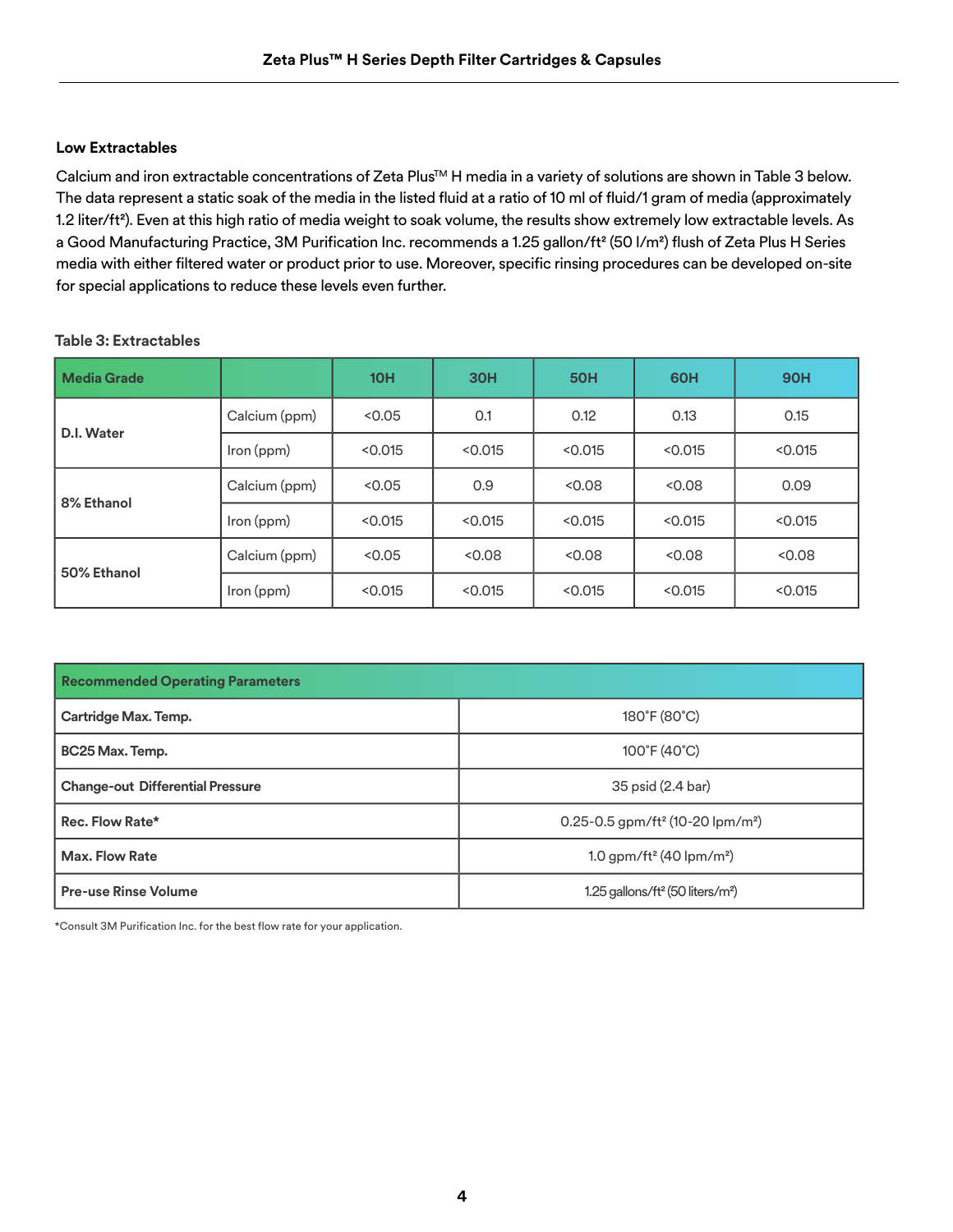#### **Low Extractables**

Calcium and iron extractable concentrations of Zeta Plus™ H media in a variety of solutions are shown in Table 3 below. The data represent a static soak of the media in the listed fluid at a ratio of 10 ml of fluid/1 gram of media (approximately 1.2 liter/ft²). Even at this high ratio of media weight to soak volume, the results show extremely low extractable levels. As a Good Manufacturing Practice, 3M Purification Inc. recommends a 1.25 gallon/ft<sup>2</sup> (50 I/m<sup>2</sup>) flush of Zeta Plus H Series media with either filtered water or product prior to use. Moreover, specific rinsing procedures can be developed on-site for special applications to reduce these levels even further.

| <b>Media Grade</b> |               | 10H     | <b>30H</b> | <b>50H</b> | 60H     | <b>90H</b> |
|--------------------|---------------|---------|------------|------------|---------|------------|
| D.I. Water         | Calcium (ppm) | < 0.05  | 0.1        | 0.12       | 0.13    | 0.15       |
|                    | Iron (ppm)    | < 0.015 | < 0.015    | < 0.015    | < 0.015 | < 0.015    |
| 8% Ethanol         | Calcium (ppm) | < 0.05  | 0.9        | < 0.08     | < 0.08  | 0.09       |
|                    | Iron (ppm)    | < 0.015 | < 0.015    | < 0.015    | < 0.015 | < 0.015    |
| 50% Ethanol        | Calcium (ppm) | < 0.05  | < 0.08     | < 0.08     | < 0.08  | < 0.08     |
|                    | Iron (ppm)    | < 0.015 | < 0.015    | < 0.015    | < 0.015 | < 0.015    |

#### **Table 3: Extractables**

| <b>Recommended Operating Parameters</b> |                                                          |  |  |  |
|-----------------------------------------|----------------------------------------------------------|--|--|--|
| Cartridge Max. Temp.                    | 180°F (80°C)                                             |  |  |  |
| BC25 Max. Temp.                         | 100°F (40°C)                                             |  |  |  |
| <b>Change-out Differential Pressure</b> | 35 psid (2.4 bar)                                        |  |  |  |
| Rec. Flow Rate*                         | 0.25-0.5 gpm/ft <sup>2</sup> (10-20 lpm/m <sup>2</sup> ) |  |  |  |
| <b>Max. Flow Rate</b>                   | 1.0 gpm/ft <sup>2</sup> (40 lpm/m <sup>2</sup> )         |  |  |  |
| <b>Pre-use Rinse Volume</b>             | 1.25 gallons/ft <sup>2</sup> (50 liters/m <sup>2</sup> ) |  |  |  |

\*Consult 3M Purification Inc. for the best flow rate for your application.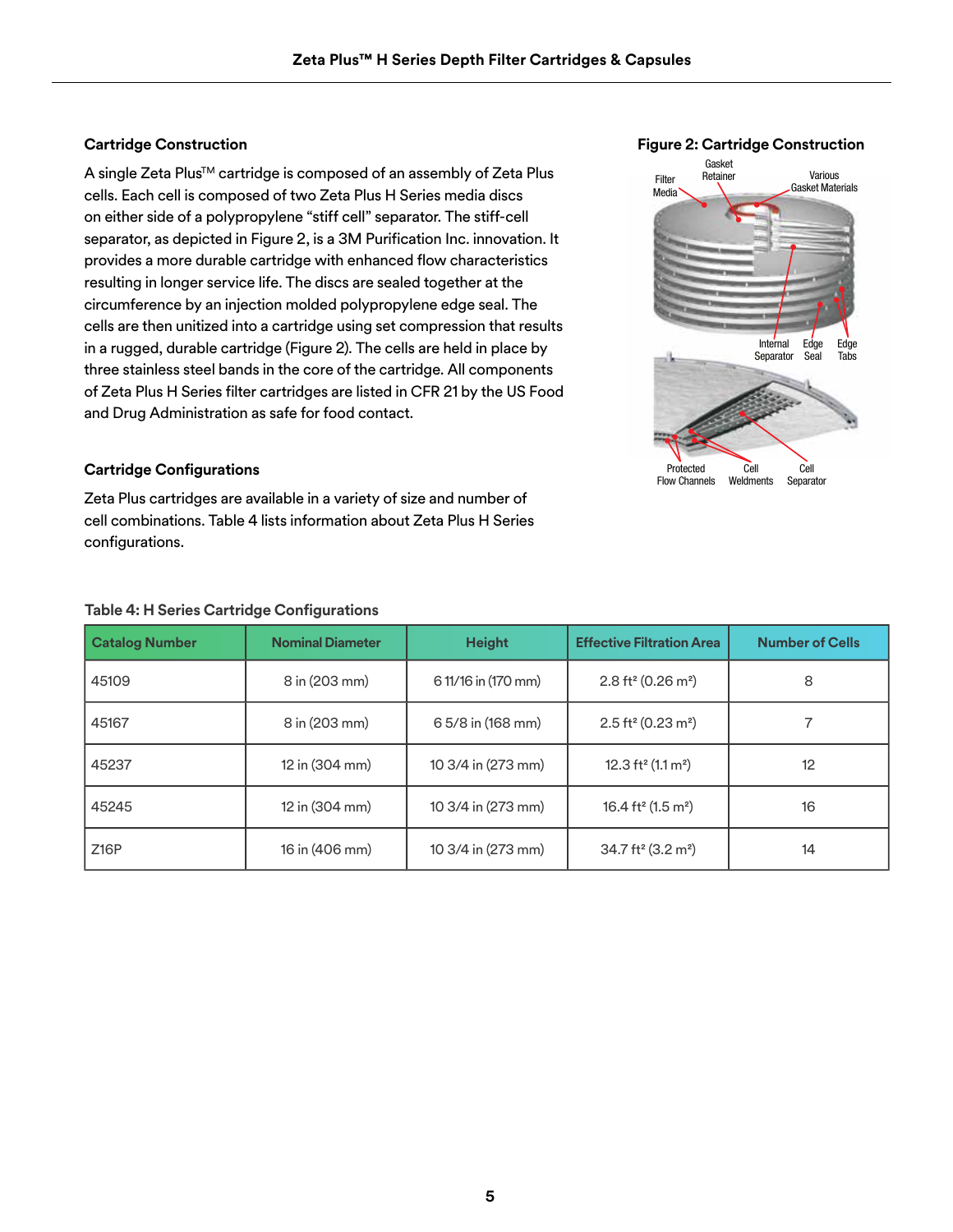A single Zeta Plus<sup>™</sup> cartridge is composed of an assembly of Zeta Plus cells. Each cell is composed of two Zeta Plus H Series media discs on either side of a polypropylene "stiff cell" separator. The stiff-cell separator, as depicted in Figure 2, is a 3M Purification Inc. innovation. It provides a more durable cartridge with enhanced flow characteristics resulting in longer service life. The discs are sealed together at the circumference by an injection molded polypropylene edge seal. The cells are then unitized into a cartridge using set compression that results in a rugged, durable cartridge (Figure 2). The cells are held in place by three stainless steel bands in the core of the cartridge. All components of Zeta Plus H Series filter cartridges are listed in CFR 21 by the US Food and Drug Administration as safe for food contact.

#### **Cartridge Configurations**

Zeta Plus cartridges are available in a variety of size and number of cell combinations. Table 4 lists information about Zeta Plus H Series configurations.

#### **Table 4: H Series Cartridge Configurations**

| <b>Catalog Number</b> | <b>Nominal Diameter</b> | <b>Height</b>       | <b>Effective Filtration Area</b>             | <b>Number of Cells</b> |
|-----------------------|-------------------------|---------------------|----------------------------------------------|------------------------|
| 45109                 | 8 in (203 mm)           | 6 11/16 in (170 mm) | $2.8$ ft <sup>2</sup> (0.26 m <sup>2</sup> ) | 8                      |
| 45167                 | 8 in (203 mm)           | 6 5/8 in (168 mm)   | $2.5$ ft <sup>2</sup> (0.23 m <sup>2</sup> ) |                        |
| 45237                 | 12 in (304 mm)          | 10 3/4 in (273 mm)  | 12.3 ft <sup>2</sup> (1.1 m <sup>2</sup> )   | 12                     |
| 45245                 | 12 in (304 mm)          | 10 3/4 in (273 mm)  | 16.4 ft <sup>2</sup> (1.5 m <sup>2</sup> )   | 16                     |
| Z16P                  | 16 in (406 mm)          | 10 3/4 in (273 mm)  | $34.7$ ft <sup>2</sup> (3.2 m <sup>2</sup> ) | 14                     |



#### **Cartridge Construction Figure 2: Cartridge Construction**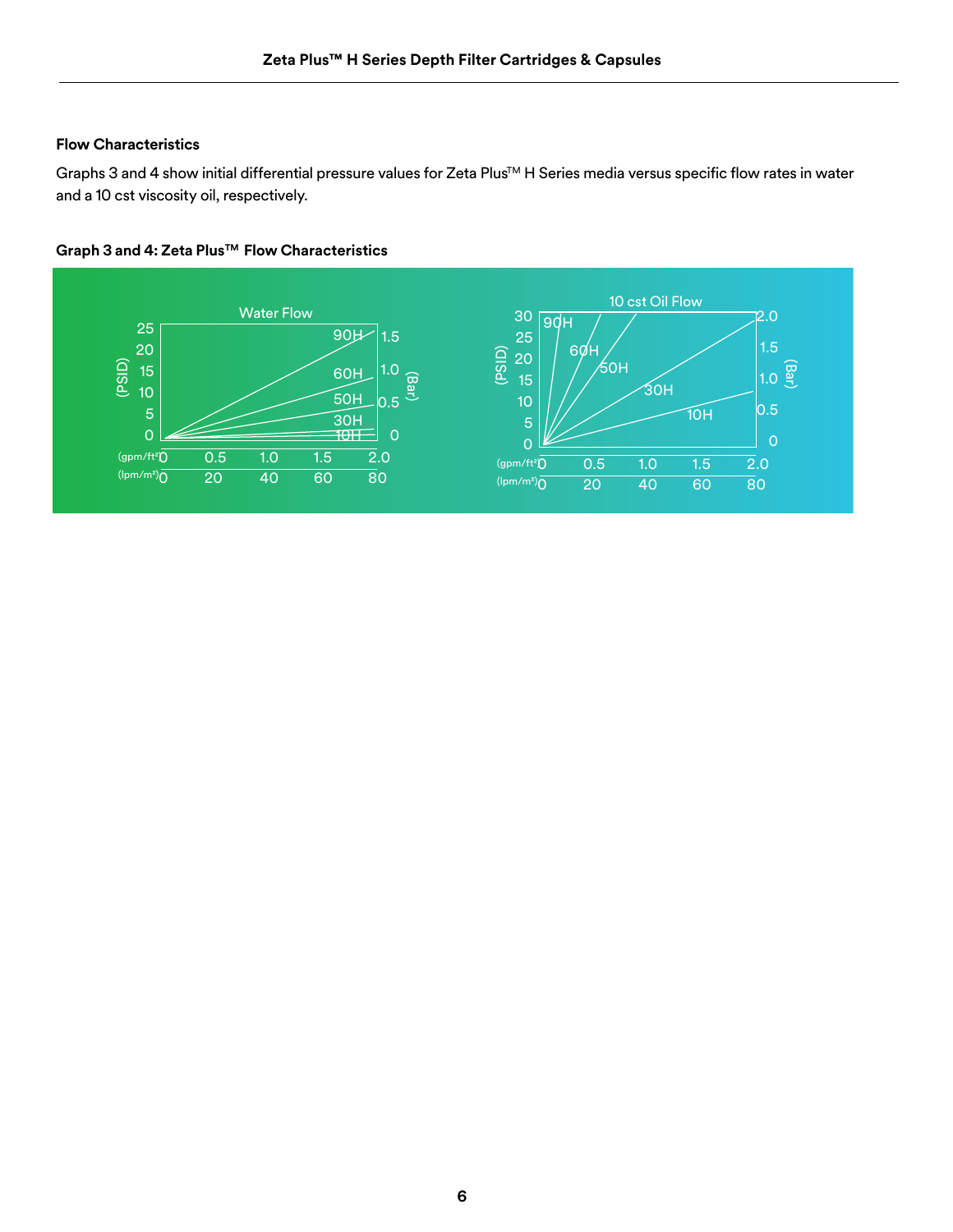#### **Flow Characteristics**

Graphs 3 and 4 show initial differential pressure values for Zeta Plus™ H Series media versus specific flow rates in water and a 10 cst viscosity oil, respectively.



#### **Graph 3 and 4: Zeta PlusTM Flow Characteristics**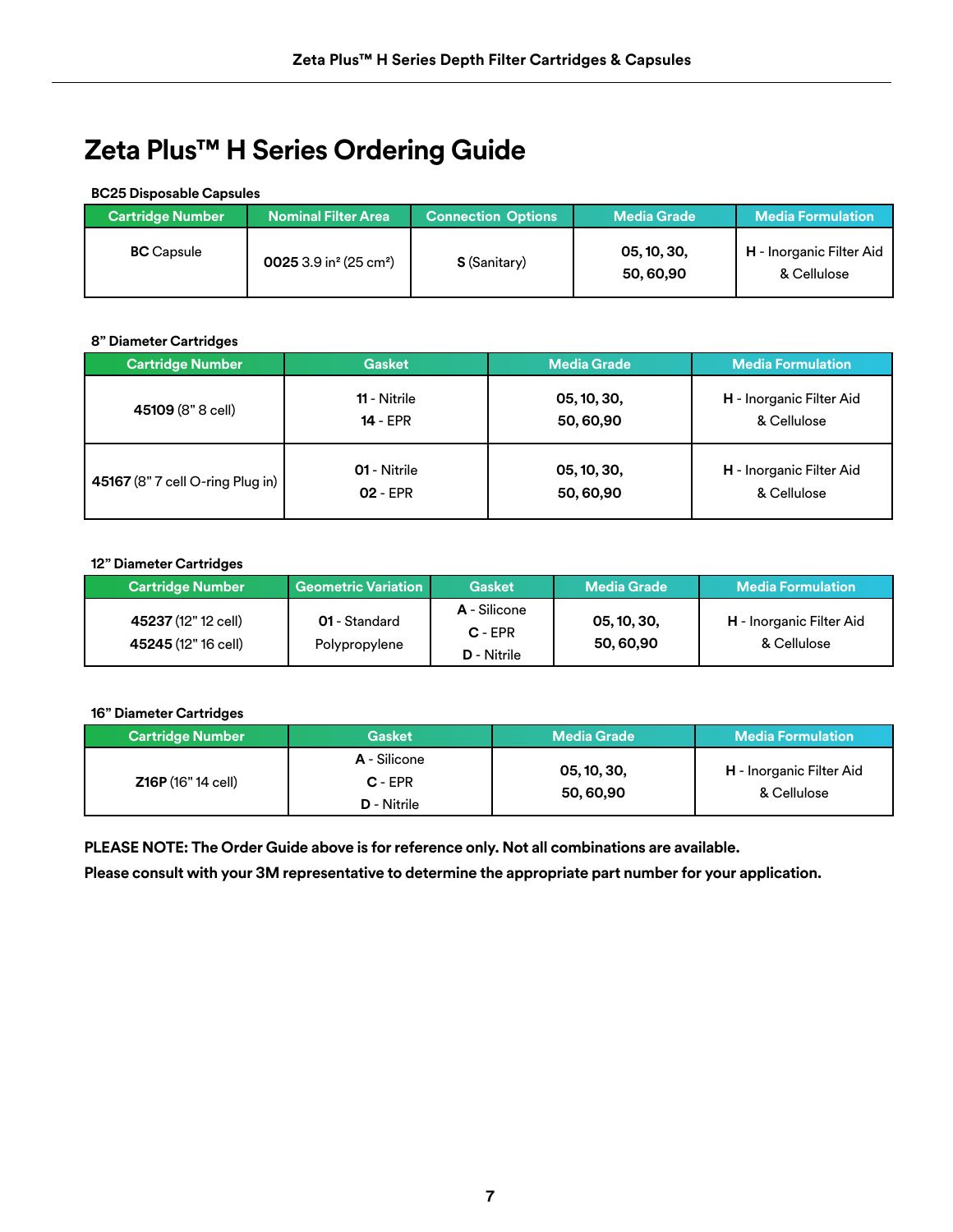## **Zeta Plus™ H Series Ordering Guide**

#### **BC25 Disposable Capsules**

| <b>Cartridge Number</b> | <b>Nominal Filter Area</b>                     | <b>Connection Options</b> | <b>Media Grade</b>      | <b>Media Formulation</b>                       |
|-------------------------|------------------------------------------------|---------------------------|-------------------------|------------------------------------------------|
| <b>BC</b> Capsule       | 0025 3.9 in <sup>2</sup> (25 cm <sup>2</sup> ) | <b>S</b> (Sanitary)       | 05, 10, 30,<br>50,60,90 | <b>H</b> - Inorganic Filter Aid<br>& Cellulose |

#### **8" Diameter Cartridges**

| <b>Cartridge Number</b>          | <b>Gasket</b> | <b>Media Grade</b> | <b>Media Formulation</b> |
|----------------------------------|---------------|--------------------|--------------------------|
| 45109 (8" 8 cell)                | 11 - Nitrile  | 05, 10, 30,        | H - Inorganic Filter Aid |
|                                  | $14 - EPR$    | 50,60,90           | & Cellulose              |
| 45167 (8" 7 cell O-ring Plug in) | 01 - Nitrile  | 05, 10, 30,        | H - Inorganic Filter Aid |
|                                  | $02 - EPR$    | 50,60,90           | & Cellulose              |

#### **12" Diameter Cartridges**

| <b>Cartridge Number</b>                    | <b>Geometric Variation</b>     | <b>Gasket</b>                            | <b>Media Grade</b>      | <b>Media Formulation</b>                |
|--------------------------------------------|--------------------------------|------------------------------------------|-------------------------|-----------------------------------------|
| 45237 (12" 12 cell)<br>45245 (12" 16 cell) | 01 - Standard<br>Polypropylene | A - Silicone<br>$C - EPR$<br>D - Nitrile | 05, 10, 30,<br>50,60,90 | H - Inorganic Filter Aid<br>& Cellulose |

#### **16" Diameter Cartridges**

| <b>Cartridge Number</b>   | <b>Gasket</b>                            | <b>Media Grade</b>      | <b>Media Formulation</b>                       |
|---------------------------|------------------------------------------|-------------------------|------------------------------------------------|
| <b>Z16P</b> (16" 14 cell) | A - Silicone<br>$C - EPR$<br>D - Nitrile | 05, 10, 30,<br>50,60,90 | <b>H</b> - Inorganic Filter Aid<br>& Cellulose |

**PLEASE NOTE: The Order Guide above is for reference only. Not all combinations are available.**

**Please consult with your 3M representative to determine the appropriate part number for your application.**